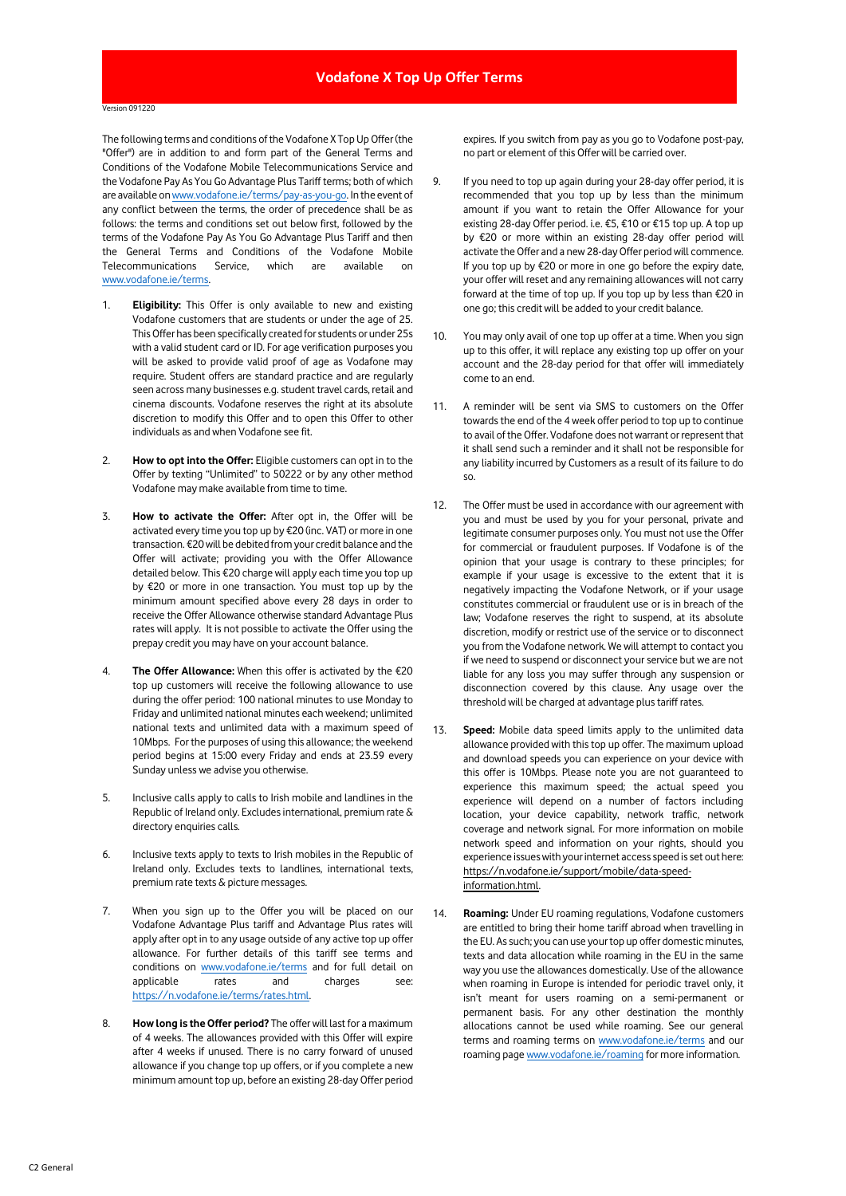## Version 091220

The following terms and conditions of the Vodafone X Top Up Offer (the "Offer") are in addition to and form part of the General Terms and Conditions of the Vodafone Mobile Telecommunications Service and the Vodafone Pay As You Go Advantage Plus Tariff terms; both of which are available o[n www.vodafone.ie/terms/pay-as-you-go.](https://n.vodafone.ie/terms/pay-as-you-go.html) In the event of any conflict between the terms, the order of precedence shall be as follows: the terms and conditions set out below first, followed by the terms of the Vodafone Pay As You Go Advantage Plus Tariff and then the General Terms and Conditions of the Vodafone Mobile Telecommunications Service, which are available on [www.vodafone.ie/terms.](http://www.vodafone.ie/terms)

- 1. **Eligibility:** This Offer is only available to new and existing Vodafone customers that are students or under the age of 25. This Offer has been specifically created for students or under 25s with a valid student card or ID. For age verification purposes you will be asked to provide valid proof of age as Vodafone may require. Student offers are standard practice and are regularly seen across many businesses e.g. student travel cards, retail and cinema discounts. Vodafone reserves the right at its absolute discretion to modify this Offer and to open this Offer to other individuals as and when Vodafone see fit.
- 2. **How to opt into the Offer:** Eligible customers can opt in to the Offer by texting "Unlimited" to 50222 or by any other method Vodafone may make available from time to time.
- 3. **How to activate the Offer:** After opt in, the Offer will be activated every time you top up by €20 (inc. VAT) or more in one transaction. €20 will be debited from your credit balance and the Offer will activate; providing you with the Offer Allowance detailed below. This €20 charge will apply each time you top up by €20 or more in one transaction. You must top up by the minimum amount specified above every 28 days in order to receive the Offer Allowance otherwise standard Advantage Plus rates will apply. It is not possible to activate the Offer using the prepay credit you may have on your account balance.
- 4. **The Offer Allowance:** When this offer is activated by the €20 top up customers will receive the following allowance to use during the offer period: 100 national minutes to use Monday to Friday and unlimited national minutes each weekend; unlimited national texts and unlimited data with a maximum speed of 10Mbps. For the purposes of using this allowance; the weekend period begins at 15:00 every Friday and ends at 23.59 every Sunday unless we advise you otherwise.
- 5. Inclusive calls apply to calls to Irish mobile and landlines in the Republic of Ireland only. Excludes international, premium rate & directory enquiries calls.
- 6. Inclusive texts apply to texts to Irish mobiles in the Republic of Ireland only. Excludes texts to landlines, international texts, premium rate texts & picture messages.
- 7. When you sign up to the Offer you will be placed on our Vodafone Advantage Plus tariff and Advantage Plus rates will apply after opt in to any usage outside of any active top up offer allowance. For further details of this tariff see terms and conditions on [www.vodafone.ie/terms](http://www.vodafone.ie/terms) and for full detail on applicable rates and charges see: [https://n.vodafone.ie/terms/rates.html.](https://n.vodafone.ie/terms/rates.html)
- 8. **How long is the Offer period?** The offer will last for a maximum of 4 weeks. The allowances provided with this Offer will expire after 4 weeks if unused. There is no carry forward of unused allowance if you change top up offers, or if you complete a new minimum amount top up, before an existing 28-day Offer period

expires. If you switch from pay as you go to Vodafone post-pay, no part or element of this Offer will be carried over.

- 9. If you need to top up again during your 28-day offer period, it is recommended that you top up by less than the minimum amount if you want to retain the Offer Allowance for your existing 28-day Offer period. i.e. €5, €10 or €15 top up. A top up by €20 or more within an existing 28-day offer period will activate the Offer and a new 28-day Offer period will commence. If you top up by €20 or more in one go before the expiry date, your offer will reset and any remaining allowances will not carry forward at the time of top up. If you top up by less than €20 in one go; this credit will be added to your credit balance.
- 10. You may only avail of one top up offer at a time. When you sign up to this offer, it will replace any existing top up offer on your account and the 28-day period for that offer will immediately come to an end.
- 11. A reminder will be sent via SMS to customers on the Offer towards the end of the 4 week offer period to top up to continue to avail of the Offer. Vodafone does not warrant or represent that it shall send such a reminder and it shall not be responsible for any liability incurred by Customers as a result of its failure to do so.
- 12. The Offer must be used in accordance with our agreement with you and must be used by you for your personal, private and legitimate consumer purposes only. You must not use the Offer for commercial or fraudulent purposes. If Vodafone is of the opinion that your usage is contrary to these principles; for example if your usage is excessive to the extent that it is negatively impacting the Vodafone Network, or if your usage constitutes commercial or fraudulent use or is in breach of the law; Vodafone reserves the right to suspend, at its absolute discretion, modify or restrict use of the service or to disconnect you from the Vodafone network. We will attempt to contact you if we need to suspend or disconnect your service but we are not liable for any loss you may suffer through any suspension or disconnection covered by this clause. Any usage over the threshold will be charged at advantage plus tariff rates.
- 13. **Speed:** Mobile data speed limits apply to the unlimited data allowance provided with this top up offer. The maximum upload and download speeds you can experience on your device with this offer is 10Mbps. Please note you are not guaranteed to experience this maximum speed; the actual speed you experience will depend on a number of factors including location, your device capability, network traffic, network coverage and network signal. For more information on mobile network speed and information on your rights, should you experience issues with your internet access speed is set out here: [https://n.vodafone.ie/support/mobile/data-speed](https://n.vodafone.ie/support/mobile/data-speed-information.html)[information.html.](https://n.vodafone.ie/support/mobile/data-speed-information.html)
- 14. **Roaming:** Under EU roaming regulations, Vodafone customers are entitled to bring their home tariff abroad when travelling in the EU. As such; you can use your top up offer domestic minutes, texts and data allocation while roaming in the EU in the same way you use the allowances domestically. Use of the allowance when roaming in Europe is intended for periodic travel only, it isn't meant for users roaming on a semi-permanent or permanent basis. For any other destination the monthly allocations cannot be used while roaming. See our general terms and roaming terms on [www.vodafone.ie/terms](http://www.vodafone.ie/terms) and our roaming pag[e www.vodafone.ie/roaming](http://www.vodafone.ie/roaming) for more information.